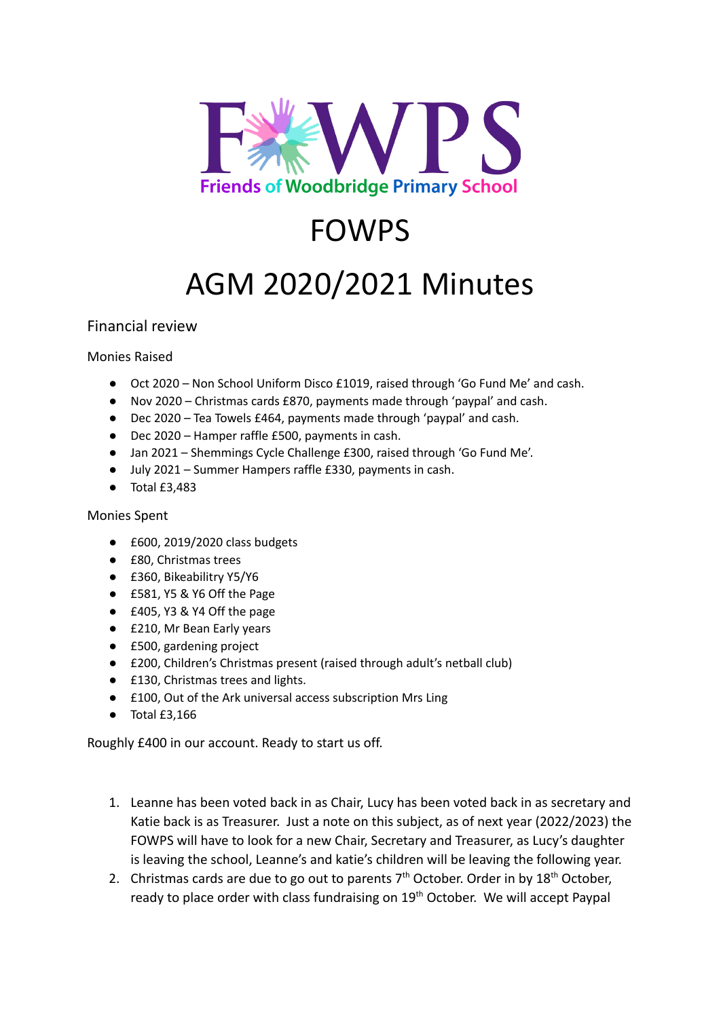

## FOWPS

## AGM 2020/2021 Minutes

## Financial review

Monies Raised

- Oct 2020 Non School Uniform Disco £1019, raised through 'Go Fund Me' and cash.
- Nov 2020 Christmas cards £870, payments made through 'paypal' and cash.
- Dec 2020 Tea Towels £464, payments made through 'paypal' and cash.
- Dec 2020 Hamper raffle £500, payments in cash.
- Jan 2021 Shemmings Cycle Challenge £300, raised through 'Go Fund Me'.
- July 2021 Summer Hampers raffle £330, payments in cash.
- Total £3,483

## Monies Spent

- £600, 2019/2020 class budgets
- £80, Christmas trees
- £360, Bikeabilitry Y5/Y6
- £581, Y5 & Y6 Off the Page
- £405, Y3 & Y4 Off the page
- £210, Mr Bean Early years
- £500, gardening project
- £200, Children's Christmas present (raised through adult's netball club)
- £130, Christmas trees and lights.
- £100, Out of the Ark universal access subscription Mrs Ling
- Total £3,166

Roughly £400 in our account. Ready to start us off.

- 1. Leanne has been voted back in as Chair, Lucy has been voted back in as secretary and Katie back is as Treasurer. Just a note on this subject, as of next year (2022/2023) the FOWPS will have to look for a new Chair, Secretary and Treasurer, as Lucy's daughter is leaving the school, Leanne's and katie's children will be leaving the following year.
- 2. Christmas cards are due to go out to parents  $7<sup>th</sup>$  October. Order in by  $18<sup>th</sup>$  October, ready to place order with class fundraising on 19<sup>th</sup> October. We will accept Paypal